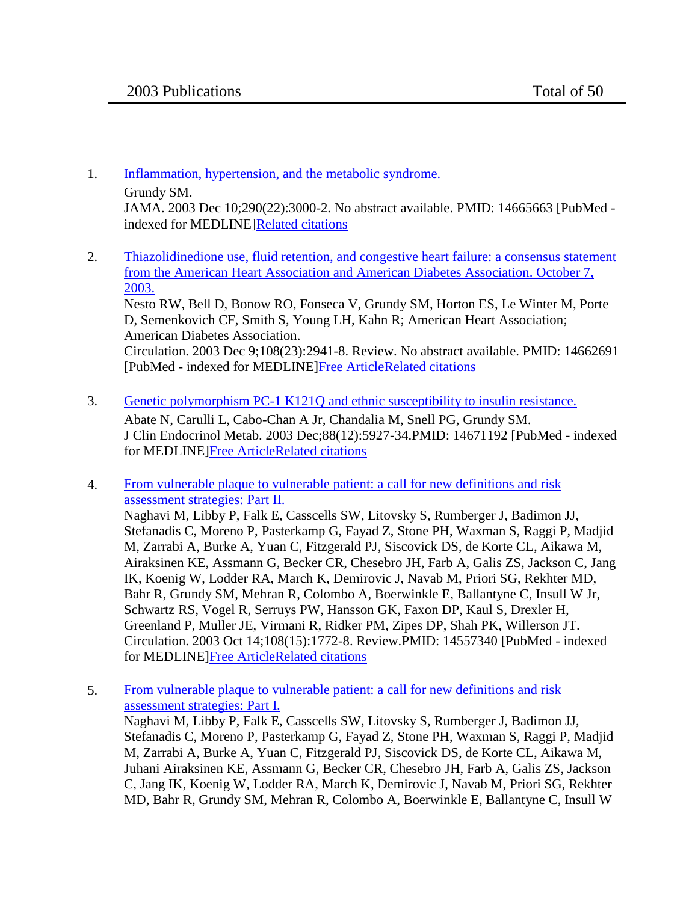- 1. [Inflammation, hypertension, and the metabolic syndrome.](http://www.ncbi.nlm.nih.gov/pubmed/14665663) Grundy SM. JAMA. 2003 Dec 10;290(22):3000-2. No abstract available. PMID: 14665663 [PubMed indexed for MEDLINE[\]Related citations](http://www.ncbi.nlm.nih.gov/sites/entrez?db=pubmed&cmd=link&linkname=pubmed_pubmed&uid=14665663)
- 2. [Thiazolidinedione use, fluid retention, and congestive heart failure: a consensus statement](http://www.ncbi.nlm.nih.gov/pubmed/14662691)  [from the American Heart Association and American Diabetes Association. October 7,](http://www.ncbi.nlm.nih.gov/pubmed/14662691)  [2003.](http://www.ncbi.nlm.nih.gov/pubmed/14662691)

Nesto RW, Bell D, Bonow RO, Fonseca V, Grundy SM, Horton ES, Le Winter M, Porte D, Semenkovich CF, Smith S, Young LH, Kahn R; American Heart Association; American Diabetes Association. Circulation. 2003 Dec 9;108(23):2941-8. Review. No abstract available. PMID: 14662691 [PubMed - indexed for MEDLINE[\]Free ArticleRelated citations](http://www.ncbi.nlm.nih.gov/sites/entrez?db=pubmed&cmd=link&linkname=pubmed_pubmed&uid=14662691)

- 3. [Genetic polymorphism PC-1 K121Q and ethnic susceptibility to insulin resistance.](http://www.ncbi.nlm.nih.gov/pubmed/14671192) Abate N, Carulli L, Cabo-Chan A Jr, Chandalia M, Snell PG, Grundy SM. J Clin Endocrinol Metab. 2003 Dec;88(12):5927-34.PMID: 14671192 [PubMed - indexed for MEDLINE[\]Free ArticleRelated citations](http://www.ncbi.nlm.nih.gov/sites/entrez?db=pubmed&cmd=link&linkname=pubmed_pubmed&uid=14671192)
- 4. [From vulnerable plaque to vulnerable patient: a call for new definitions and risk](http://www.ncbi.nlm.nih.gov/pubmed/14557340)  [assessment strategies: Part II.](http://www.ncbi.nlm.nih.gov/pubmed/14557340) Naghavi M, Libby P, Falk E, Casscells SW, Litovsky S, Rumberger J, Badimon JJ, Stefanadis C, Moreno P, Pasterkamp G, Fayad Z, Stone PH, Waxman S, Raggi P, Madjid M, Zarrabi A, Burke A, Yuan C, Fitzgerald PJ, Siscovick DS, de Korte CL, Aikawa M, Airaksinen KE, Assmann G, Becker CR, Chesebro JH, Farb A, Galis ZS, Jackson C, Jang IK, Koenig W, Lodder RA, March K, Demirovic J, Navab M, Priori SG, Rekhter MD, Bahr R, Grundy SM, Mehran R, Colombo A, Boerwinkle E, Ballantyne C, Insull W Jr, Schwartz RS, Vogel R, Serruys PW, Hansson GK, Faxon DP, Kaul S, Drexler H, Greenland P, Muller JE, Virmani R, Ridker PM, Zipes DP, Shah PK, Willerson JT. Circulation. 2003 Oct 14;108(15):1772-8. Review.PMID: 14557340 [PubMed - indexed for MEDLINE[\]Free ArticleRelated citations](http://www.ncbi.nlm.nih.gov/sites/entrez?db=pubmed&cmd=link&linkname=pubmed_pubmed&uid=14557340)
- 5. [From vulnerable plaque to vulnerable patient: a call for new definitions and risk](http://www.ncbi.nlm.nih.gov/pubmed/14530185)  [assessment strategies: Part I.](http://www.ncbi.nlm.nih.gov/pubmed/14530185) Naghavi M, Libby P, Falk E, Casscells SW, Litovsky S, Rumberger J, Badimon JJ, Stefanadis C, Moreno P, Pasterkamp G, Fayad Z, Stone PH, Waxman S, Raggi P, Madjid M, Zarrabi A, Burke A, Yuan C, Fitzgerald PJ, Siscovick DS, de Korte CL, Aikawa M, Juhani Airaksinen KE, Assmann G, Becker CR, Chesebro JH, Farb A, Galis ZS, Jackson C, Jang IK, Koenig W, Lodder RA, March K, Demirovic J, Navab M, Priori SG, Rekhter MD, Bahr R, Grundy SM, Mehran R, Colombo A, Boerwinkle E, Ballantyne C, Insull W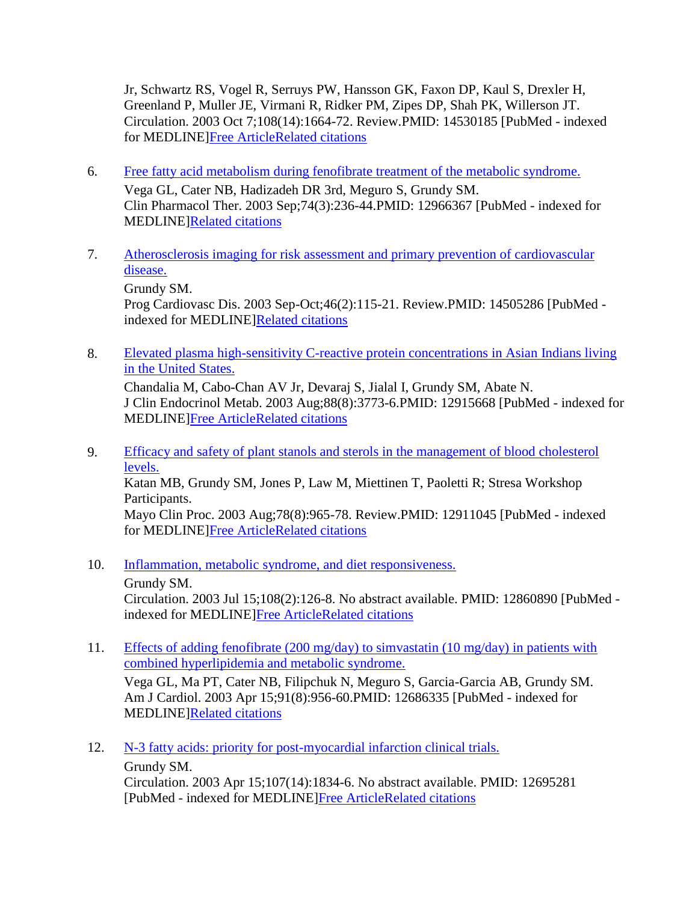Jr, Schwartz RS, Vogel R, Serruys PW, Hansson GK, Faxon DP, Kaul S, Drexler H, Greenland P, Muller JE, Virmani R, Ridker PM, Zipes DP, Shah PK, Willerson JT. Circulation. 2003 Oct 7;108(14):1664-72. Review.PMID: 14530185 [PubMed - indexed for MEDLINE[\]Free ArticleRelated citations](http://www.ncbi.nlm.nih.gov/sites/entrez?db=pubmed&cmd=link&linkname=pubmed_pubmed&uid=14530185)

- 6. [Free fatty acid metabolism during fenofibrate treatment of the metabolic syndrome.](http://www.ncbi.nlm.nih.gov/pubmed/12966367) Vega GL, Cater NB, Hadizadeh DR 3rd, Meguro S, Grundy SM. Clin Pharmacol Ther. 2003 Sep;74(3):236-44.PMID: 12966367 [PubMed - indexed for MEDLINE[\]Related citations](http://www.ncbi.nlm.nih.gov/sites/entrez?db=pubmed&cmd=link&linkname=pubmed_pubmed&uid=12966367)
- 7. [Atherosclerosis imaging for risk assessment and primary prevention of cardiovascular](http://www.ncbi.nlm.nih.gov/pubmed/14505286)  [disease.](http://www.ncbi.nlm.nih.gov/pubmed/14505286)

Grundy SM.

Prog Cardiovasc Dis. 2003 Sep-Oct;46(2):115-21. Review.PMID: 14505286 [PubMed indexed for MEDLINE[\]Related citations](http://www.ncbi.nlm.nih.gov/sites/entrez?db=pubmed&cmd=link&linkname=pubmed_pubmed&uid=14505286)

8. [Elevated plasma high-sensitivity C-reactive protein concentrations in Asian](http://www.ncbi.nlm.nih.gov/pubmed/12915668) Indians living [in the United States.](http://www.ncbi.nlm.nih.gov/pubmed/12915668)

Chandalia M, Cabo-Chan AV Jr, Devaraj S, Jialal I, Grundy SM, Abate N. J Clin Endocrinol Metab. 2003 Aug;88(8):3773-6.PMID: 12915668 [PubMed - indexed for MEDLINE[\]Free ArticleRelated citations](http://www.ncbi.nlm.nih.gov/sites/entrez?db=pubmed&cmd=link&linkname=pubmed_pubmed&uid=12915668)

- 9. [Efficacy and safety of plant stanols and sterols in the management of blood cholesterol](http://www.ncbi.nlm.nih.gov/pubmed/12911045)  [levels.](http://www.ncbi.nlm.nih.gov/pubmed/12911045) Katan MB, Grundy SM, Jones P, Law M, Miettinen T, Paoletti R; Stresa Workshop Participants. Mayo Clin Proc. 2003 Aug;78(8):965-78. Review.PMID: 12911045 [PubMed - indexed for MEDLINE[\]Free ArticleRelated citations](http://www.ncbi.nlm.nih.gov/sites/entrez?db=pubmed&cmd=link&linkname=pubmed_pubmed&uid=12911045)
- 10. [Inflammation, metabolic syndrome, and diet responsiveness.](http://www.ncbi.nlm.nih.gov/pubmed/12860890)
	- Grundy SM.

Circulation. 2003 Jul 15;108(2):126-8. No abstract available. PMID: 12860890 [PubMed indexed for MEDLINE[\]Free ArticleRelated citations](http://www.ncbi.nlm.nih.gov/sites/entrez?db=pubmed&cmd=link&linkname=pubmed_pubmed&uid=12860890)

11. [Effects of adding fenofibrate \(200 mg/day\) to simvastatin \(10 mg/day\) in patients with](http://www.ncbi.nlm.nih.gov/pubmed/12686335)  [combined hyperlipidemia and metabolic syndrome.](http://www.ncbi.nlm.nih.gov/pubmed/12686335)

Vega GL, Ma PT, Cater NB, Filipchuk N, Meguro S, Garcia-Garcia AB, Grundy SM. Am J Cardiol. 2003 Apr 15;91(8):956-60.PMID: 12686335 [PubMed - indexed for MEDLINE[\]Related citations](http://www.ncbi.nlm.nih.gov/sites/entrez?db=pubmed&cmd=link&linkname=pubmed_pubmed&uid=12686335)

12. N-3 fatty [acids: priority for post-myocardial infarction clinical trials.](http://www.ncbi.nlm.nih.gov/pubmed/12695281)

Grundy SM.

Circulation. 2003 Apr 15;107(14):1834-6. No abstract available. PMID: 12695281 [PubMed - indexed for MEDLINE[\]Free ArticleRelated citations](http://www.ncbi.nlm.nih.gov/sites/entrez?db=pubmed&cmd=link&linkname=pubmed_pubmed&uid=12695281)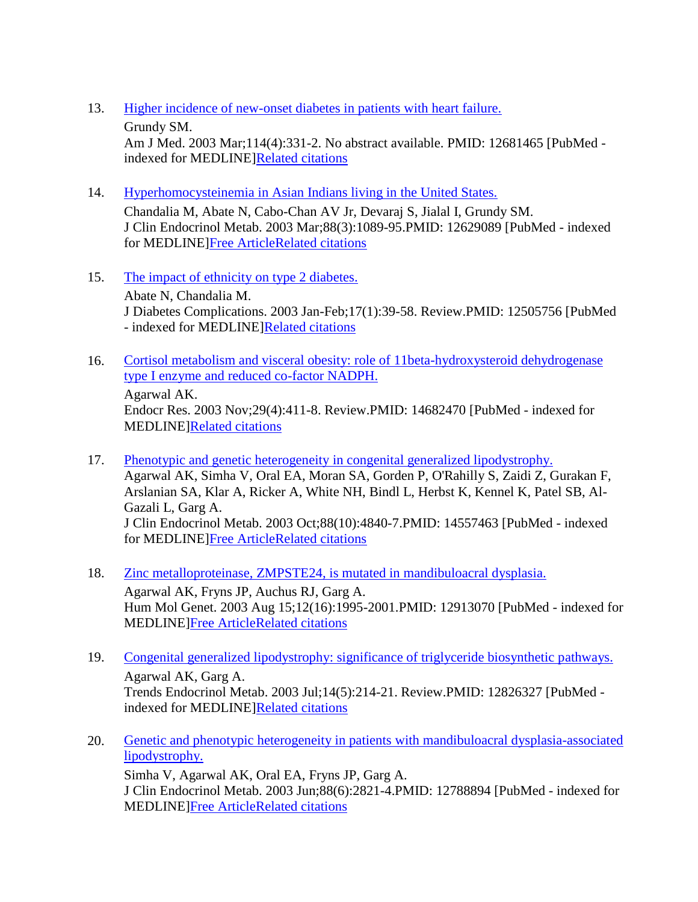- 13. [Higher incidence of new-onset diabetes in patients with heart failure.](http://www.ncbi.nlm.nih.gov/pubmed/12681465)
	- Grundy SM.

Am J Med. 2003 Mar;114(4):331-2. No abstract available. PMID: 12681465 [PubMed indexed for MEDLINE[\]Related citations](http://www.ncbi.nlm.nih.gov/sites/entrez?db=pubmed&cmd=link&linkname=pubmed_pubmed&uid=12681465)

14. [Hyperhomocysteinemia in Asian Indians living in the United States.](http://www.ncbi.nlm.nih.gov/pubmed/12629089)

Chandalia M, Abate N, Cabo-Chan AV Jr, Devaraj S, Jialal I, Grundy SM. J Clin Endocrinol Metab. 2003 Mar;88(3):1089-95.PMID: 12629089 [PubMed - indexed for MEDLINE[\]Free ArticleRelated citations](http://www.ncbi.nlm.nih.gov/sites/entrez?db=pubmed&cmd=link&linkname=pubmed_pubmed&uid=12629089)

- 15. [The impact of ethnicity on type 2 diabetes.](http://www.ncbi.nlm.nih.gov/pubmed/12505756) Abate N, Chandalia M. J Diabetes Complications. 2003 Jan-Feb;17(1):39-58. Review.PMID: 12505756 [PubMed - indexed for MEDLINE[\]Related citations](http://www.ncbi.nlm.nih.gov/sites/entrez?db=pubmed&cmd=link&linkname=pubmed_pubmed&uid=12505756)
- 16. [Cortisol metabolism and visceral obesity: role of 11beta-hydroxysteroid dehydrogenase](http://www.ncbi.nlm.nih.gov/pubmed/14682470)  [type I enzyme and reduced co-factor NADPH.](http://www.ncbi.nlm.nih.gov/pubmed/14682470) Agarwal AK. Endocr Res. 2003 Nov;29(4):411-8. Review.PMID: 14682470 [PubMed - indexed for MEDLINE[\]Related citations](http://www.ncbi.nlm.nih.gov/sites/entrez?db=pubmed&cmd=link&linkname=pubmed_pubmed&uid=14682470)
- 17. [Phenotypic and genetic heterogeneity in congenital generalized lipodystrophy.](http://www.ncbi.nlm.nih.gov/pubmed/14557463) Agarwal AK, Simha V, Oral EA, Moran SA, Gorden P, O'Rahilly S, Zaidi Z, Gurakan F, Arslanian SA, Klar A, Ricker A, White NH, Bindl L, Herbst K, Kennel K, Patel SB, Al-Gazali L, Garg A. J Clin Endocrinol Metab. 2003 Oct;88(10):4840-7.PMID: 14557463 [PubMed - indexed for MEDLINE[\]Free ArticleRelated citations](http://www.ncbi.nlm.nih.gov/sites/entrez?db=pubmed&cmd=link&linkname=pubmed_pubmed&uid=14557463)
- 18. [Zinc metalloproteinase, ZMPSTE24, is mutated in mandibuloacral dysplasia.](http://www.ncbi.nlm.nih.gov/pubmed/12913070) Agarwal AK, Fryns JP, Auchus RJ, Garg A. Hum Mol Genet. 2003 Aug 15;12(16):1995-2001.PMID: 12913070 [PubMed - indexed for MEDLINE[\]Free ArticleRelated citations](http://www.ncbi.nlm.nih.gov/sites/entrez?db=pubmed&cmd=link&linkname=pubmed_pubmed&uid=12913070)
- 19. [Congenital generalized lipodystrophy: significance of triglyceride biosynthetic pathways.](http://www.ncbi.nlm.nih.gov/pubmed/12826327) Agarwal AK, Garg A. Trends Endocrinol Metab. 2003 Jul;14(5):214-21. Review.PMID: 12826327 [PubMed - indexed for MEDLINE[\]Related citations](http://www.ncbi.nlm.nih.gov/sites/entrez?db=pubmed&cmd=link&linkname=pubmed_pubmed&uid=12826327)
- 20. [Genetic and phenotypic heterogeneity in patients with mandibuloacral dysplasia-associated](http://www.ncbi.nlm.nih.gov/pubmed/12788894)  [lipodystrophy.](http://www.ncbi.nlm.nih.gov/pubmed/12788894) Simha V, Agarwal AK, Oral EA, Fryns JP, Garg A. J Clin Endocrinol Metab. 2003 Jun;88(6):2821-4.PMID: 12788894 [PubMed - indexed for MEDLINE[\]Free ArticleRelated citations](http://www.ncbi.nlm.nih.gov/sites/entrez?db=pubmed&cmd=link&linkname=pubmed_pubmed&uid=12788894)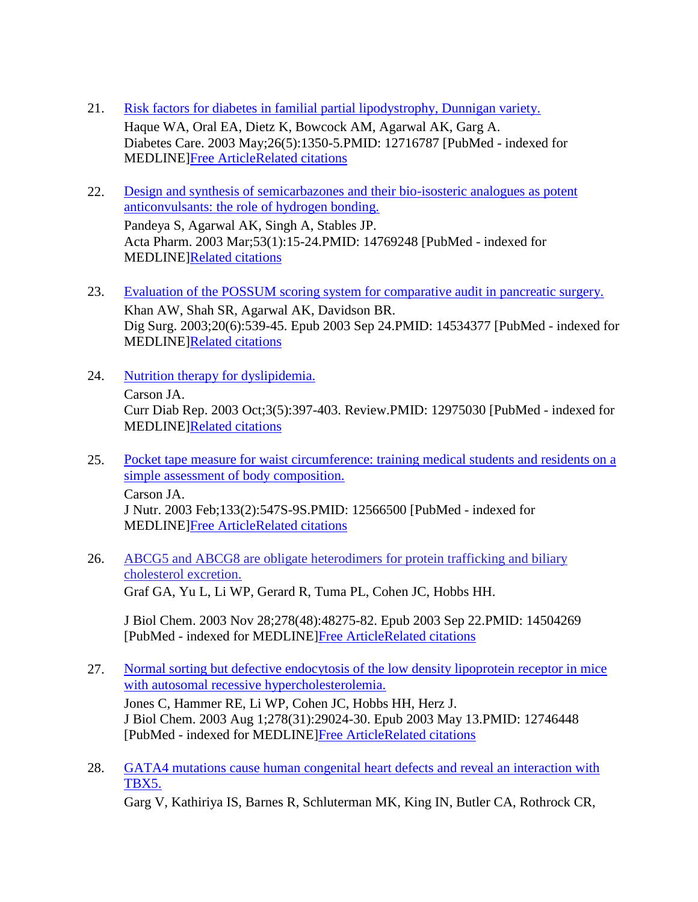- 21. [Risk factors for diabetes in familial partial lipodystrophy, Dunnigan variety.](http://www.ncbi.nlm.nih.gov/pubmed/12716787) Haque WA, Oral EA, Dietz K, Bowcock AM, Agarwal AK, Garg A. Diabetes Care. 2003 May;26(5):1350-5.PMID: 12716787 [PubMed - indexed for MEDLINE[\]Free ArticleRelated citations](http://www.ncbi.nlm.nih.gov/sites/entrez?db=pubmed&cmd=link&linkname=pubmed_pubmed&uid=12716787)
- 22. [Design and synthesis of semicarbazones and their bio-isosteric analogues as potent](http://www.ncbi.nlm.nih.gov/pubmed/14769248)  [anticonvulsants: the role of hydrogen bonding.](http://www.ncbi.nlm.nih.gov/pubmed/14769248) Pandeya S, Agarwal AK, Singh A, Stables JP.

Acta Pharm. 2003 Mar;53(1):15-24.PMID: 14769248 [PubMed - indexed for MEDLINE[\]Related citations](http://www.ncbi.nlm.nih.gov/sites/entrez?db=pubmed&cmd=link&linkname=pubmed_pubmed&uid=14769248)

- 23. [Evaluation of the POSSUM scoring system for comparative audit in pancreatic surgery.](http://www.ncbi.nlm.nih.gov/pubmed/14534377) Khan AW, Shah SR, Agarwal AK, Davidson BR. Dig Surg. 2003;20(6):539-45. Epub 2003 Sep 24.PMID: 14534377 [PubMed - indexed for MEDLINE[\]Related citations](http://www.ncbi.nlm.nih.gov/sites/entrez?db=pubmed&cmd=link&linkname=pubmed_pubmed&uid=14534377)
- 24. [Nutrition therapy for dyslipidemia.](http://www.ncbi.nlm.nih.gov/pubmed/12975030) Carson JA. Curr Diab Rep. 2003 Oct;3(5):397-403. Review.PMID: 12975030 [PubMed - indexed for MEDLINE[\]Related citations](http://www.ncbi.nlm.nih.gov/sites/entrez?db=pubmed&cmd=link&linkname=pubmed_pubmed&uid=12975030)
- 25. [Pocket tape measure for waist circumference: training medical students and residents on a](http://www.ncbi.nlm.nih.gov/pubmed/12566500)  [simple assessment of body composition.](http://www.ncbi.nlm.nih.gov/pubmed/12566500) Carson JA. J Nutr. 2003 Feb;133(2):547S-9S.PMID: 12566500 [PubMed - indexed for MEDLINE[\]Free ArticleRelated citations](http://www.ncbi.nlm.nih.gov/sites/entrez?db=pubmed&cmd=link&linkname=pubmed_pubmed&uid=12566500)
- 26. [ABCG5 and ABCG8 are obligate heterodimers for protein trafficking and biliary](http://www.ncbi.nlm.nih.gov/pubmed/14504269)  [cholesterol excretion.](http://www.ncbi.nlm.nih.gov/pubmed/14504269)

Graf GA, Yu L, Li WP, Gerard R, Tuma PL, Cohen JC, Hobbs HH.

J Biol Chem. 2003 Nov 28;278(48):48275-82. Epub 2003 Sep 22.PMID: 14504269 [PubMed - indexed for MEDLINE[\]Free ArticleRelated citations](http://www.ncbi.nlm.nih.gov/sites/entrez?db=pubmed&cmd=link&linkname=pubmed_pubmed&uid=14504269)

- 27. [Normal sorting but defective endocytosis of the low density lipoprotein receptor in mice](http://www.ncbi.nlm.nih.gov/pubmed/12746448)  [with autosomal recessive hypercholesterolemia.](http://www.ncbi.nlm.nih.gov/pubmed/12746448) Jones C, Hammer RE, Li WP, Cohen JC, Hobbs HH, Herz J. J Biol Chem. 2003 Aug 1;278(31):29024-30. Epub 2003 May 13.PMID: 12746448 [PubMed - indexed for MEDLINE[\]Free ArticleRelated citations](/http:/www.ncbi.nlm.nih.gov/sites/entrez?db=pubmed&cmd=link&linkname=pubmed_pubmed&uid=12746448)
- 28. [GATA4 mutations cause human congenital heart defects and reveal an interaction with](http://www.ncbi.nlm.nih.gov/pubmed/12845333)  [TBX5.](http://www.ncbi.nlm.nih.gov/pubmed/12845333)

Garg V, Kathiriya IS, Barnes R, Schluterman MK, King IN, Butler CA, Rothrock CR,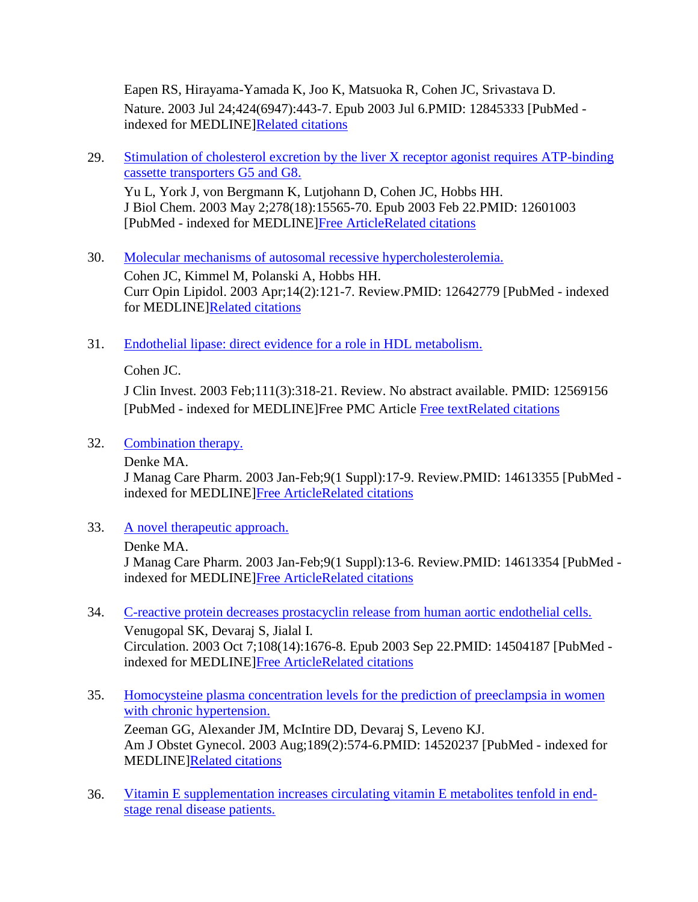Eapen RS, Hirayama-Yamada K, Joo K, Matsuoka R, Cohen JC, Srivastava D. Nature. 2003 Jul 24;424(6947):443-7. Epub 2003 Jul 6.PMID: 12845333 [PubMed - indexed for MEDLINE[\]Related citations](http://www.ncbi.nlm.nih.gov/sites/entrez?db=pubmed&cmd=link&linkname=pubmed_pubmed&uid=12845333)

29. [Stimulation of cholesterol excretion by the liver X receptor agonist requires ATP-binding](http://www.ncbi.nlm.nih.gov/pubmed/12601003)  [cassette transporters G5 and G8.](http://www.ncbi.nlm.nih.gov/pubmed/12601003) Yu L, York J, von Bergmann K, Lutjohann D, Cohen JC, Hobbs HH. J Biol Chem. 2003 May 2;278(18):15565-70. Epub 2003 Feb 22.PMID: 12601003

[PubMed - indexed for MEDLINE[\]Free ArticleRelated citations](http://www.ncbi.nlm.nih.gov/sites/entrez?db=pubmed&cmd=link&linkname=pubmed_pubmed&uid=12601003)

- 30. [Molecular mechanisms of autosomal recessive hypercholesterolemia.](http://www.ncbi.nlm.nih.gov/pubmed/12642779) Cohen JC, Kimmel M, Polanski A, Hobbs HH. Curr Opin Lipidol. 2003 Apr;14(2):121-7. Review.PMID: 12642779 [PubMed - indexed for MEDLINE[\]Related citations](http://www.ncbi.nlm.nih.gov/sites/entrez?db=pubmed&cmd=link&linkname=pubmed_pubmed&uid=12642779)
- 31. [Endothelial lipase: direct evidence for a role in HDL metabolism.](http://www.ncbi.nlm.nih.gov/pubmed/12569156)

Cohen JC.

J Clin Invest. 2003 Feb;111(3):318-21. Review. No abstract available. PMID: 12569156 [PubMed - indexed for MEDLINE]Free PMC Article [Free textRelated citations](http://www.ncbi.nlm.nih.gov/pmc/articles/PMC151874)

- 32. [Combination therapy.](http://www.ncbi.nlm.nih.gov/pubmed/14613355)
	- Denke MA.

J Manag Care Pharm. 2003 Jan-Feb;9(1 Suppl):17-9. Review.PMID: 14613355 [PubMed indexed for MEDLINE[\]Free ArticleRelated citations](http://www.ncbi.nlm.nih.gov/sites/entrez?db=pubmed&cmd=link&linkname=pubmed_pubmed&uid=14613355)

33. [A novel therapeutic approach.](http://www.ncbi.nlm.nih.gov/pubmed/14613354)

## Denke MA.

J Manag Care Pharm. 2003 Jan-Feb;9(1 Suppl):13-6. Review.PMID: 14613354 [PubMed indexed for MEDLINE[\]Free ArticleRelated citations](http://www.ncbi.nlm.nih.gov/sites/entrez?db=pubmed&cmd=link&linkname=pubmed_pubmed&uid=14613354)

34. [C-reactive protein decreases prostacyclin release from human aortic endothelial cells.](http://www.ncbi.nlm.nih.gov/pubmed/14504187)

Venugopal SK, Devaraj S, Jialal I. Circulation. 2003 Oct 7;108(14):1676-8. Epub 2003 Sep 22.PMID: 14504187 [PubMed indexed for MEDLINE[\]Free ArticleRelated citations](http://www.ncbi.nlm.nih.gov/sites/entrez?db=pubmed&cmd=link&linkname=pubmed_pubmed&uid=14504187)

35. [Homocysteine plasma concentration levels for the prediction of preeclampsia in women](http://www.ncbi.nlm.nih.gov/pubmed/14520237)  [with chronic hypertension.](http://www.ncbi.nlm.nih.gov/pubmed/14520237)

Zeeman GG, Alexander JM, McIntire DD, Devaraj S, Leveno KJ. Am J Obstet Gynecol. 2003 Aug;189(2):574-6.PMID: 14520237 [PubMed - indexed for MEDLINE[\]Related citations](http://www.ncbi.nlm.nih.gov/sites/entrez?db=pubmed&cmd=link&linkname=pubmed_pubmed&uid=14520237)

36. [Vitamin E supplementation increases circulating vitamin E metabolites tenfold in end](http://www.ncbi.nlm.nih.gov/pubmed/14577659)[stage renal disease patients.](http://www.ncbi.nlm.nih.gov/pubmed/14577659)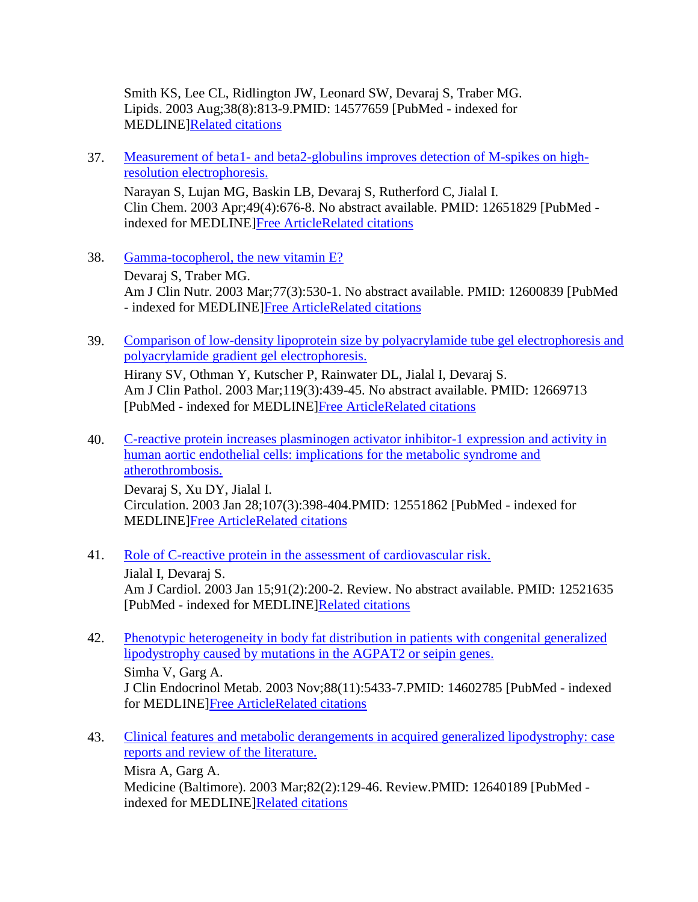Smith KS, Lee CL, Ridlington JW, Leonard SW, Devaraj S, Traber MG. Lipids. 2003 Aug;38(8):813-9.PMID: 14577659 [PubMed - indexed for MEDLINE[\]Related citations](http://www.ncbi.nlm.nih.gov/sites/entrez?db=pubmed&cmd=link&linkname=pubmed_pubmed&uid=14577659)

37. Measurement of beta1- [and beta2-globulins improves detection of M-spikes on high](http://www.ncbi.nlm.nih.gov/pubmed/12651829)[resolution electrophoresis.](http://www.ncbi.nlm.nih.gov/pubmed/12651829)

Narayan S, Lujan MG, Baskin LB, Devaraj S, Rutherford C, Jialal I. Clin Chem. 2003 Apr;49(4):676-8. No abstract available. PMID: 12651829 [PubMed indexed for MEDLINE[\]Free ArticleRelated citations](http://www.ncbi.nlm.nih.gov/sites/entrez?db=pubmed&cmd=link&linkname=pubmed_pubmed&uid=12651829)

- 38. [Gamma-tocopherol, the new vitamin E?](http://www.ncbi.nlm.nih.gov/pubmed/12600839) Devaraj S, Traber MG. Am J Clin Nutr. 2003 Mar;77(3):530-1. No abstract available. PMID: 12600839 [PubMed - indexed for MEDLINE[\]Free ArticleRelated citations](http://www.ncbi.nlm.nih.gov/sites/entrez?db=pubmed&cmd=link&linkname=pubmed_pubmed&uid=12600839)
- 39. [Comparison of low-density lipoprotein size by polyacrylamide tube gel electrophoresis and](http://www.ncbi.nlm.nih.gov/pubmed/12669713)  [polyacrylamide gradient gel electrophoresis.](http://www.ncbi.nlm.nih.gov/pubmed/12669713) Hirany SV, Othman Y, Kutscher P, Rainwater DL, Jialal I, Devaraj S.

Am J Clin Pathol. 2003 Mar;119(3):439-45. No abstract available. PMID: 12669713 [PubMed - indexed for MEDLINE[\]Free ArticleRelated citations](http://www.ncbi.nlm.nih.gov/sites/entrez?db=pubmed&cmd=link&linkname=pubmed_pubmed&uid=12669713)

- 40. [C-reactive protein increases plasminogen activator inhibitor-1 expression and activity in](http://www.ncbi.nlm.nih.gov/pubmed/12551862)  [human aortic endothelial cells: implications for the metabolic syndrome and](http://www.ncbi.nlm.nih.gov/pubmed/12551862)  [atherothrombosis.](http://www.ncbi.nlm.nih.gov/pubmed/12551862) Devaraj S, Xu DY, Jialal I. Circulation. 2003 Jan 28;107(3):398-404.PMID: 12551862 [PubMed - indexed for MEDLINE[\]Free ArticleRelated citations](http://www.ncbi.nlm.nih.gov/sites/entrez?db=pubmed&cmd=link&linkname=pubmed_pubmed&uid=12551862)
- 41. [Role of C-reactive protein in the assessment of cardiovascular risk.](http://www.ncbi.nlm.nih.gov/pubmed/12521635)

Jialal I, Devaraj S. Am J Cardiol. 2003 Jan 15;91(2):200-2. Review. No abstract available. PMID: 12521635 [PubMed - indexed for MEDLINE[\]Related citations](http://www.ncbi.nlm.nih.gov/sites/entrez?db=pubmed&cmd=link&linkname=pubmed_pubmed&uid=12521635)

- 42. [Phenotypic heterogeneity in body fat distribution in patients with congenital generalized](http://www.ncbi.nlm.nih.gov/pubmed/14602785)  [lipodystrophy caused by mutations in the AGPAT2 or seipin genes.](http://www.ncbi.nlm.nih.gov/pubmed/14602785) Simha V, Garg A. J Clin Endocrinol Metab. 2003 Nov;88(11):5433-7.PMID: 14602785 [PubMed - indexed for MEDLINE[\]Free ArticleRelated citations](http://www.ncbi.nlm.nih.gov/sites/entrez?db=pubmed&cmd=link&linkname=pubmed_pubmed&uid=14602785)
- 43. [Clinical features and metabolic derangements in acquired generalized lipodystrophy: case](http://www.ncbi.nlm.nih.gov/pubmed/12640189)  [reports and review of the literature.](http://www.ncbi.nlm.nih.gov/pubmed/12640189)

Misra A, Garg A. Medicine (Baltimore). 2003 Mar;82(2):129-46. Review.PMID: 12640189 [PubMed indexed for MEDLINE[\]Related citations](http://www.ncbi.nlm.nih.gov/sites/entrez?db=pubmed&cmd=link&linkname=pubmed_pubmed&uid=12640189)